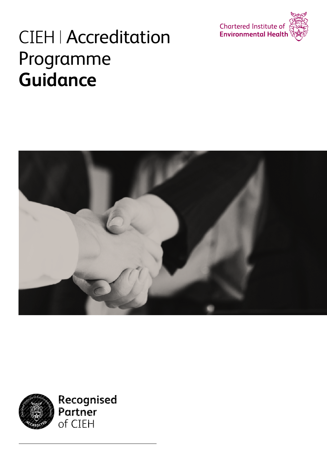

# CIEH | Accreditation Programme **Guidance**



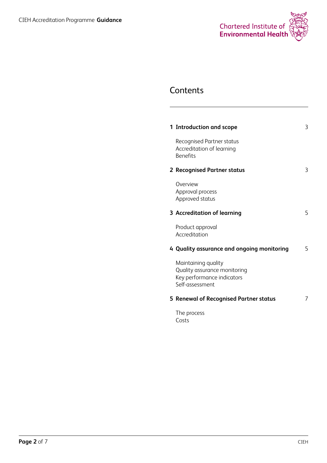

### **Contents**

| 1 Introduction and scope                                                                             | 3 |
|------------------------------------------------------------------------------------------------------|---|
| Recognised Partner status<br>Accreditation of learning<br><b>Benefits</b>                            |   |
| 2 Recognised Partner status                                                                          | 3 |
| Overview<br>Approval process<br>Approved status                                                      |   |
| 3 Accreditation of learning                                                                          | 5 |
| Product approval<br>Accreditation                                                                    |   |
| 4 Quality assurance and ongoing monitoring                                                           | 5 |
| Maintaining quality<br>Quality assurance monitoring<br>Key performance indicators<br>Self-assessment |   |
| 5 Renewal of Recognised Partner status                                                               | 7 |
| The process<br>Costs                                                                                 |   |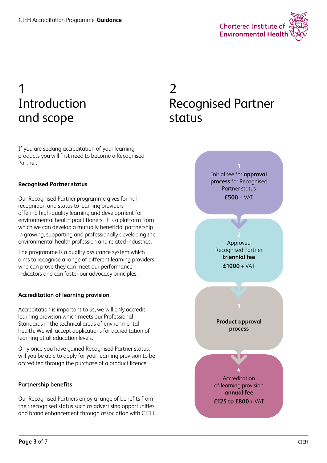

## 1 Introduction and scope

# Recognised Partner status

 $\overline{\mathcal{L}}$ 

If you are seeking accreditation of your learning products you will first need to become a Recognised Partner.

#### **Recognised Partner status**

Our Recognised Partner programme gives formal recognition and status to learning providers offering high-quality learning and development for environmental health practitioners. It is a platform from which we can develop a mutually beneficial partnership in growing, supporting and professionally developing the environmental health profession and related industries.

The programme is a quality assurance system which aims to recognise a range of different learning providers who can prove they can meet our performance indicators and can foster our advocacy principles.

#### **Accreditation of learning provision**

Accreditation is important to us, we will only accredit learning provision which meets our Professional Standards in the technical areas of environmental health. We will accept applications for accreditation of learning at all education levels.

Only once you have gained Recognised Partner status, will you be able to apply for your learning provision to be accredited through the purchase of a product licence.

#### **Partnership benefits**

Our Recognised Partners enjoy a range of benefits from their recognised status such as advertising opportunities and brand enhancement through association with CIEH.

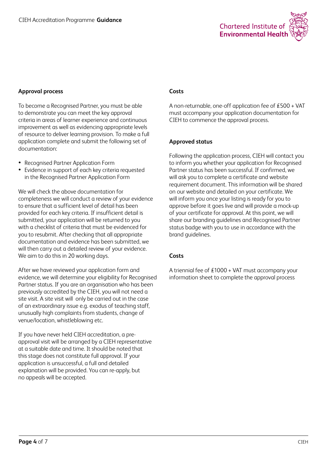

#### **Approval process**

To become a Recognised Partner, you must be able to demonstrate you can meet the key approval criteria in areas of learner experience and continuous improvement as well as evidencing appropriate levels of resource to deliver learning provision. To make a full application complete and submit the following set of documentation:

- Recognised Partner Application Form
- Evidence in support of each key criteria requested in the Recognised Partner Application Form

We will check the above documentation for completeness we will conduct a review of your evidence to ensure that a sufficient level of detail has been provided for each key criteria. If insufficient detail is submitted, your application will be returned to you with a checklist of criteria that must be evidenced for you to resubmit. After checking that all appropriate documentation and evidence has been submitted, we will then carry out a detailed review of your evidence. We aim to do this in 20 working days.

After we have reviewed your application form and evidence, we will determine your eligibility for Recognised Partner status. If you are an organisation who has been previously accredited by the CIEH, you will not need a site visit. A site visit will only be carried out in the case of an extraordinary issue e.g. exodus of teaching staff, unusually high complaints from students, change of venue/location, whistleblowing etc.

If you have never held CIEH accreditation, a preapproval visit will be arranged by a CIEH representative at a suitable date and time. It should be noted that this stage does not constitute full approval. If your application is unsuccessful, a full and detailed explanation will be provided. You can re-apply, but no appeals will be accepted.

#### **Costs**

A non-returnable, one-off application fee of £500 + VAT must accompany your application documentation for CIEH to commence the approval process.

#### **Approved status**

Following the application process, CIEH will contact you to inform you whether your application for Recognised Partner status has been successful. If confirmed, we will ask you to complete a certificate and website requirement document. This information will be shared on our website and detailed on your certificate. We will inform you once your listing is ready for you to approve before it goes live and will provide a mock-up of your certificate for approval. At this point, we will share our branding guidelines and Recognised Partner status badge with you to use in accordance with the brand guidelines.

#### **Costs**

A triennial fee of £1000 + VAT must accompany your information sheet to complete the approval process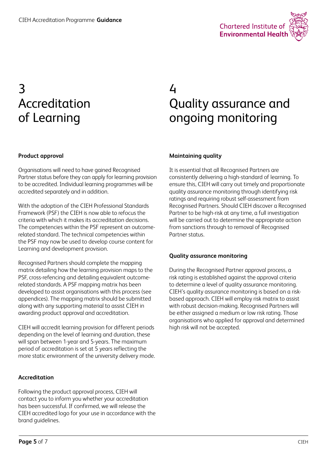

### 3 Accreditation of Learning

## $\overline{L}$ Quality assurance and ongoing monitoring

#### **Product approval**

Organisations will need to have gained Recognised Partner status before they can apply for learning provision to be accredited. Individual learning programmes will be accredited separately and in addition.

With the adoption of the CIEH Professional Standards Framework (PSF) the CIEH is now able to refocus the criteria with which it makes its accreditation decisions. The competencies within the PSF represent an outcomerelated standard. The technical competencies within the PSF may now be used to develop course content for Learning and development provision.

Recognised Partners should complete the mapping matrix detailing how the learning provision maps to the PSF, cross-refencing and detailing equivalent outcomerelated standards. A PSF mapping matrix has been developed to assist organisations with this process (see appendices). The mapping matrix should be submitted along with any supporting material to assist CIEH in awarding product approval and accreditation.

CIEH will accredit learning provision for different periods depending on the level of learning and duration, these will span between 1-year and 5-years. The maximum period of accreditation is set at 5 years reflecting the more static environment of the university delivery mode.

#### **Accreditation**

Following the product approval process, CIEH will contact you to inform you whether your accreditation has been successful. If confirmed, we will release the CIEH accredited logo for your use in accordance with the brand guidelines.

#### **Maintaining quality**

It is essential that all Recognised Partners are consistently delivering a high-standard of learning. To ensure this, CIEH will carry out timely and proportionate quality assurance monitoring through identifying risk ratings and requiring robust self-assessment from Recognised Partners. Should CIEH discover a Recognised Partner to be high-risk at any time, a full investigation will be carried out to determine the appropriate action from sanctions through to removal of Recognised Partner status.

#### **Quality assurance monitoring**

During the Recognised Partner approval process, a risk rating is established against the approval criteria to determine a level of quality assurance monitoring. CIEH's quality assurance monitoring is based on a riskbased approach. CIEH will employ risk matrix to assist with robust decision-making. Recognised Partners will be either assigned a medium or low risk rating. Those organisations who applied for approval and determined high risk will not be accepted.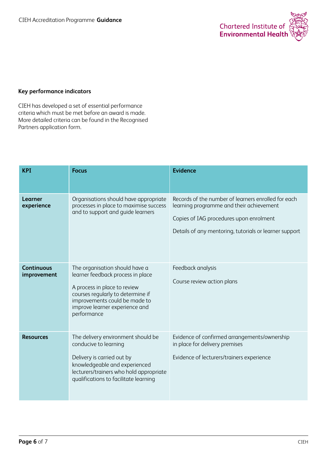

#### **Key performance indicators**

CIEH has developed a set of essential performance criteria which must be met before an award is made. More detailed criteria can be found in the Recognised Partners application form.

| <b>KPI</b>                       | <b>Focus</b>                                                                                                                                                                                                               | <b>Evidence</b>                                                                                                                                                                                      |
|----------------------------------|----------------------------------------------------------------------------------------------------------------------------------------------------------------------------------------------------------------------------|------------------------------------------------------------------------------------------------------------------------------------------------------------------------------------------------------|
| Learner<br>experience            | Organisations should have appropriate<br>processes in place to maximise success<br>and to support and guide learners                                                                                                       | Records of the number of learners enrolled for each<br>learning programme and their achievement<br>Copies of IAG procedures upon enrolment<br>Details of any mentoring, tutorials or learner support |
| <b>Continuous</b><br>improvement | The organisation should have a<br>learner feedback process in place<br>A process in place to review<br>courses regularly to determine if<br>improvements could be made to<br>improve learner experience and<br>performance | Feedback analysis<br>Course review action plans                                                                                                                                                      |
| <b>Resources</b>                 | The delivery environment should be<br>conducive to learning<br>Delivery is carried out by<br>knowledgeable and experienced<br>lecturers/trainers who hold appropriate<br>qualifications to facilitate learning             | Evidence of confirmed arrangements/ownership<br>in place for delivery premises<br>Evidence of lecturers/trainers experience                                                                          |